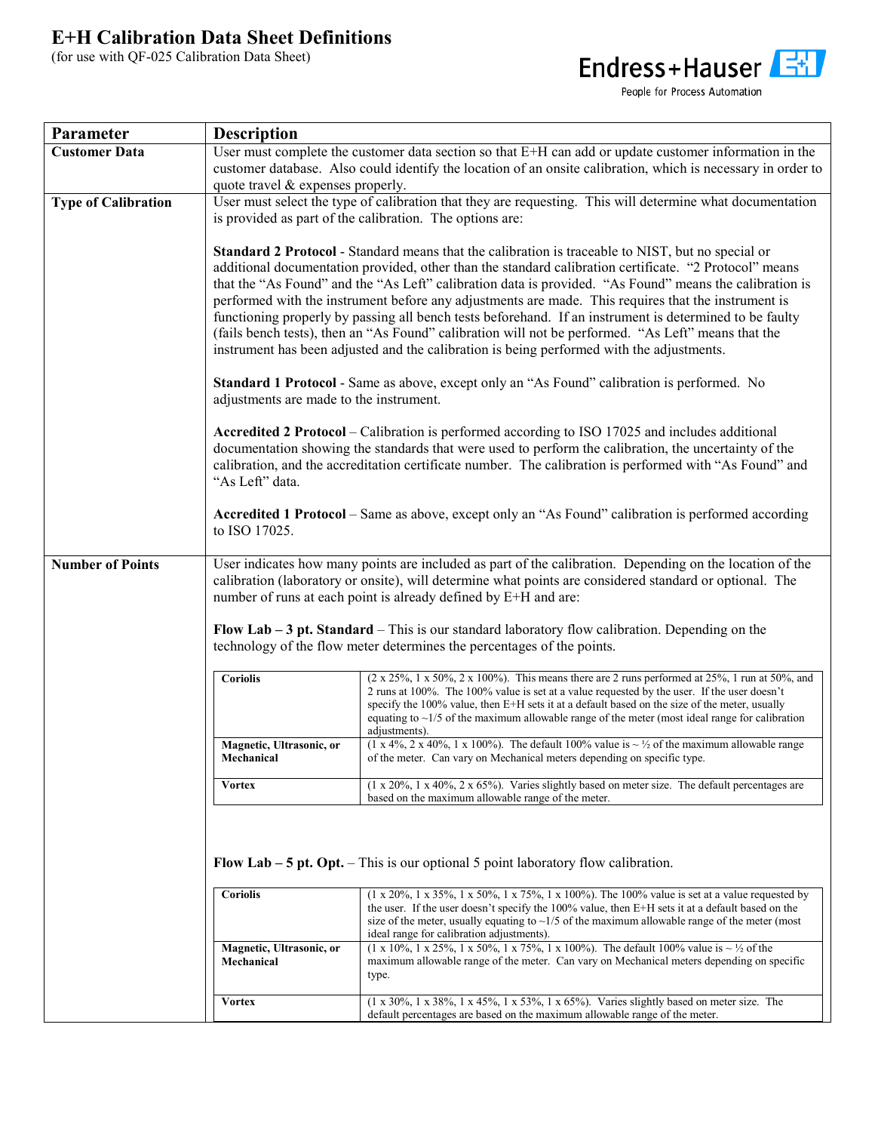## **E+H Calibration Data Sheet Definitions**

(for use with QF-025 Calibration Data Sheet)



People for Process Automation

| Parameter                  | <b>Description</b>                                                                                                                                                                                                                                                                                                                                                                                                                                                                                                                                                                                                                                                                                                                                  |                                                                                                                                                                                                                                                                                                                                                                                                                                             |  |
|----------------------------|-----------------------------------------------------------------------------------------------------------------------------------------------------------------------------------------------------------------------------------------------------------------------------------------------------------------------------------------------------------------------------------------------------------------------------------------------------------------------------------------------------------------------------------------------------------------------------------------------------------------------------------------------------------------------------------------------------------------------------------------------------|---------------------------------------------------------------------------------------------------------------------------------------------------------------------------------------------------------------------------------------------------------------------------------------------------------------------------------------------------------------------------------------------------------------------------------------------|--|
| <b>Customer Data</b>       | quote travel & expenses properly.                                                                                                                                                                                                                                                                                                                                                                                                                                                                                                                                                                                                                                                                                                                   | User must complete the customer data section so that E+H can add or update customer information in the<br>customer database. Also could identify the location of an onsite calibration, which is necessary in order to                                                                                                                                                                                                                      |  |
| <b>Type of Calibration</b> | User must select the type of calibration that they are requesting. This will determine what documentation<br>is provided as part of the calibration. The options are:                                                                                                                                                                                                                                                                                                                                                                                                                                                                                                                                                                               |                                                                                                                                                                                                                                                                                                                                                                                                                                             |  |
|                            | <b>Standard 2 Protocol</b> - Standard means that the calibration is traceable to NIST, but no special or<br>additional documentation provided, other than the standard calibration certificate. "2 Protocol" means<br>that the "As Found" and the "As Left" calibration data is provided. "As Found" means the calibration is<br>performed with the instrument before any adjustments are made. This requires that the instrument is<br>functioning properly by passing all bench tests beforehand. If an instrument is determined to be faulty<br>(fails bench tests), then an "As Found" calibration will not be performed. "As Left" means that the<br>instrument has been adjusted and the calibration is being performed with the adjustments. |                                                                                                                                                                                                                                                                                                                                                                                                                                             |  |
|                            | Standard 1 Protocol - Same as above, except only an "As Found" calibration is performed. No<br>adjustments are made to the instrument.                                                                                                                                                                                                                                                                                                                                                                                                                                                                                                                                                                                                              |                                                                                                                                                                                                                                                                                                                                                                                                                                             |  |
|                            | Accredited 2 Protocol – Calibration is performed according to ISO 17025 and includes additional<br>documentation showing the standards that were used to perform the calibration, the uncertainty of the<br>calibration, and the accreditation certificate number. The calibration is performed with "As Found" and<br>"As Left" data.                                                                                                                                                                                                                                                                                                                                                                                                              |                                                                                                                                                                                                                                                                                                                                                                                                                                             |  |
|                            | to ISO 17025.                                                                                                                                                                                                                                                                                                                                                                                                                                                                                                                                                                                                                                                                                                                                       | Accredited 1 Protocol – Same as above, except only an "As Found" calibration is performed according                                                                                                                                                                                                                                                                                                                                         |  |
| <b>Number of Points</b>    | User indicates how many points are included as part of the calibration. Depending on the location of the<br>calibration (laboratory or onsite), will determine what points are considered standard or optional. The<br>number of runs at each point is already defined by E+H and are:<br>Flow Lab $-3$ pt. Standard $-$ This is our standard laboratory flow calibration. Depending on the<br>technology of the flow meter determines the percentages of the points.                                                                                                                                                                                                                                                                               |                                                                                                                                                                                                                                                                                                                                                                                                                                             |  |
|                            | <b>Coriolis</b>                                                                                                                                                                                                                                                                                                                                                                                                                                                                                                                                                                                                                                                                                                                                     | $(2 \times 25\%, 1 \times 50\%, 2 \times 100\%)$ . This means there are 2 runs performed at 25%, 1 run at 50%, and<br>2 runs at 100%. The 100% value is set at a value requested by the user. If the user doesn't<br>specify the 100% value, then E+H sets it at a default based on the size of the meter, usually<br>equating to $\sim$ 1/5 of the maximum allowable range of the meter (most ideal range for calibration<br>adjustments). |  |
|                            | Magnetic, Ultrasonic, or<br>Mechanical                                                                                                                                                                                                                                                                                                                                                                                                                                                                                                                                                                                                                                                                                                              | $(1 \times 4\%, 2 \times 40\%, 1 \times 100\%)$ . The default 100% value is $\sim \frac{1}{2}$ of the maximum allowable range<br>of the meter. Can vary on Mechanical meters depending on specific type.                                                                                                                                                                                                                                    |  |
|                            | <b>Vortex</b>                                                                                                                                                                                                                                                                                                                                                                                                                                                                                                                                                                                                                                                                                                                                       | $(1 x 20\%, 1 x 40\%, 2 x 65\%)$ . Varies slightly based on meter size. The default percentages are<br>based on the maximum allowable range of the meter.                                                                                                                                                                                                                                                                                   |  |
|                            | <b>Flow Lab <math>-</math> 5 pt. Opt.</b> $-$ This is our optional 5 point laboratory flow calibration.                                                                                                                                                                                                                                                                                                                                                                                                                                                                                                                                                                                                                                             |                                                                                                                                                                                                                                                                                                                                                                                                                                             |  |
|                            | <b>Coriolis</b>                                                                                                                                                                                                                                                                                                                                                                                                                                                                                                                                                                                                                                                                                                                                     | $(1 \times 20\%, 1 \times 35\%, 1 \times 50\%, 1 \times 75\%, 1 \times 100\%)$ . The 100% value is set at a value requested by<br>the user. If the user doesn't specify the 100% value, then E+H sets it at a default based on the<br>size of the meter, usually equating to $\sim$ 1/5 of the maximum allowable range of the meter (most<br>ideal range for calibration adjustments).                                                      |  |
|                            | Magnetic, Ultrasonic, or<br>Mechanical                                                                                                                                                                                                                                                                                                                                                                                                                                                                                                                                                                                                                                                                                                              | $(1 \times 10\%, 1 \times 25\%, 1 \times 50\%, 1 \times 75\%, 1 \times 100\%)$ . The default 100% value is $\sim \frac{1}{2}$ of the<br>maximum allowable range of the meter. Can vary on Mechanical meters depending on specific<br>type.                                                                                                                                                                                                  |  |
|                            | <b>Vortex</b>                                                                                                                                                                                                                                                                                                                                                                                                                                                                                                                                                                                                                                                                                                                                       | (1 x 30%, 1 x 38%, 1 x 45%, 1 x 53%, 1 x 65%). Varies slightly based on meter size. The<br>default percentages are based on the maximum allowable range of the meter.                                                                                                                                                                                                                                                                       |  |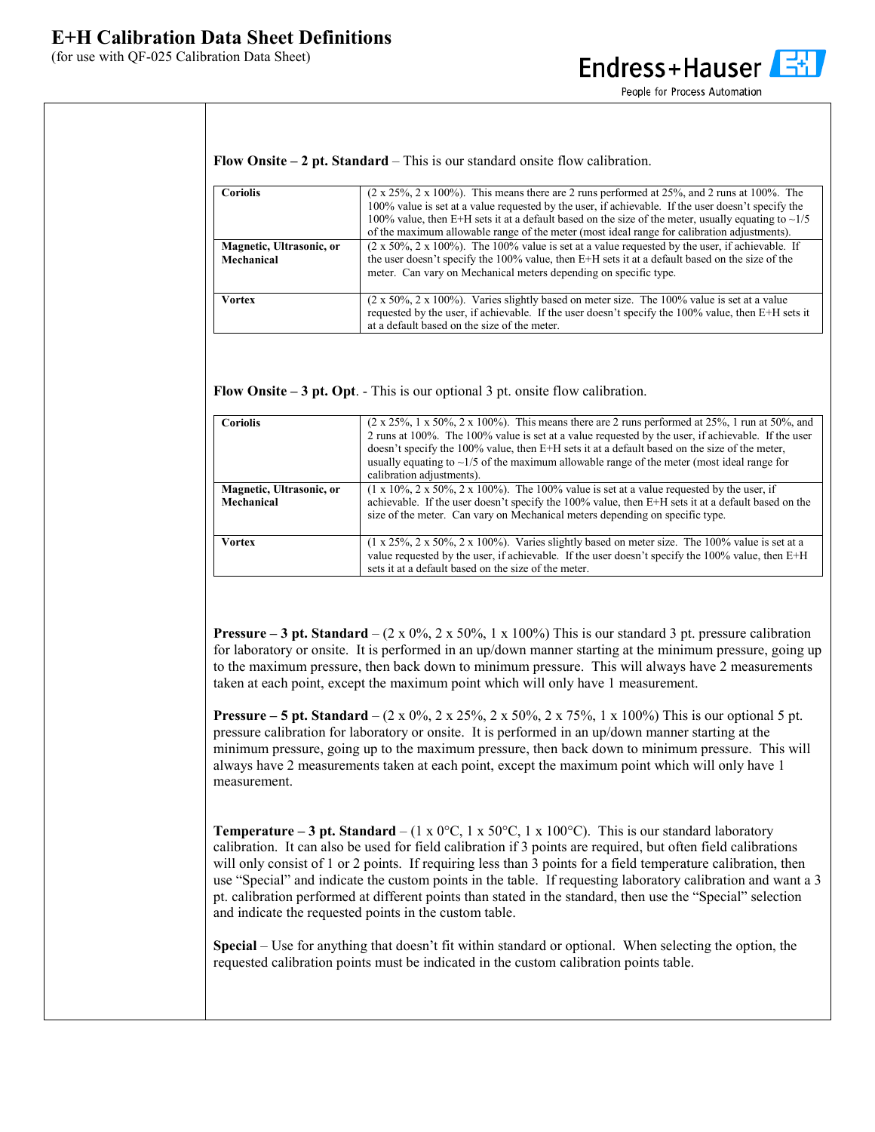## **E+H Calibration Data Sheet Definitions**

(for use with QF-025 Calibration Data Sheet)



People for Process Automation

**Flow Onsite – 2 pt. Standard** – This is our standard onsite flow calibration.

| <b>Coriolis</b>          | $(2 \times 25\%, 2 \times 100\%)$ . This means there are 2 runs performed at 25%, and 2 runs at 100%. The        |  |
|--------------------------|------------------------------------------------------------------------------------------------------------------|--|
|                          | 100% value is set at a value requested by the user, if achievable. If the user doesn't specify the               |  |
|                          | 100% value, then E+H sets it at a default based on the size of the meter, usually equating to $\sim$ 1/5         |  |
|                          | of the maximum allowable range of the meter (most ideal range for calibration adjustments).                      |  |
| Magnetic, Ultrasonic, or | $(2 \times 50\%$ , $2 \times 100\%$ ). The 100% value is set at a value requested by the user, if achievable. If |  |
| Mechanical               | the user doesn't specify the 100% value, then E+H sets it at a default based on the size of the                  |  |
|                          | meter. Can vary on Mechanical meters depending on specific type.                                                 |  |
|                          |                                                                                                                  |  |
| <b>Vortex</b>            | $(2 \times 50\%, 2 \times 100\%)$ . Varies slightly based on meter size. The 100% value is set at a value        |  |
|                          | requested by the user, if achievable. If the user doesn't specify the 100% value, then E+H sets it               |  |
|                          | at a default based on the size of the meter.                                                                     |  |

**Flow Onsite – 3 pt. Opt**. - This is our optional 3 pt. onsite flow calibration.

| <b>Coriolis</b>                        | $(2 \times 25\%, 1 \times 50\%, 2 \times 100\%)$ . This means there are 2 runs performed at 25%, 1 run at 50%, and<br>2 runs at 100%. The 100% value is set at a value requested by the user, if achievable. If the user<br>doesn't specify the 100% value, then E+H sets it at a default based on the size of the meter, |
|----------------------------------------|---------------------------------------------------------------------------------------------------------------------------------------------------------------------------------------------------------------------------------------------------------------------------------------------------------------------------|
|                                        | usually equating to $\sim$ 1/5 of the maximum allowable range of the meter (most ideal range for<br>calibration adjustments).                                                                                                                                                                                             |
| Magnetic, Ultrasonic, or<br>Mechanical | $(1 \times 10\%$ , $2 \times 50\%$ , $2 \times 100\%$ ). The 100% value is set at a value requested by the user, if<br>achievable. If the user doesn't specify the 100% value, then E+H sets it at a default based on the<br>size of the meter. Can vary on Mechanical meters depending on specific type.                 |
| <b>Vortex</b>                          | $(1 \times 25\%, 2 \times 50\%, 2 \times 100\%)$ . Varies slightly based on meter size. The 100% value is set at a<br>value requested by the user, if achievable. If the user doesn't specify the $100\%$ value, then E+H<br>sets it at a default based on the size of the meter.                                         |

**Pressure – 3 pt. Standard –** (2 x 0%, 2 x 50%, 1 x 100%) This is our standard 3 pt. pressure calibration for laboratory or onsite. It is performed in an up/down manner starting at the minimum pressure, going up to the maximum pressure, then back down to minimum pressure. This will always have 2 measurements taken at each point, except the maximum point which will only have 1 measurement.

**Pressure – 5 pt. Standard** – (2 x 0%, 2 x 25%, 2 x 50%, 2 x 75%, 1 x 100%) This is our optional 5 pt. pressure calibration for laboratory or onsite. It is performed in an up/down manner starting at the minimum pressure, going up to the maximum pressure, then back down to minimum pressure. This will always have 2 measurements taken at each point, except the maximum point which will only have 1 measurement.

**Temperature – 3 pt. Standard** – (1 x 0°C, 1 x 50°C, 1 x 100°C). This is our standard laboratory calibration. It can also be used for field calibration if 3 points are required, but often field calibrations will only consist of 1 or 2 points. If requiring less than 3 points for a field temperature calibration, then use "Special" and indicate the custom points in the table. If requesting laboratory calibration and want a 3 pt. calibration performed at different points than stated in the standard, then use the "Special" selection and indicate the requested points in the custom table.

**Special** – Use for anything that doesn't fit within standard or optional. When selecting the option, the requested calibration points must be indicated in the custom calibration points table.